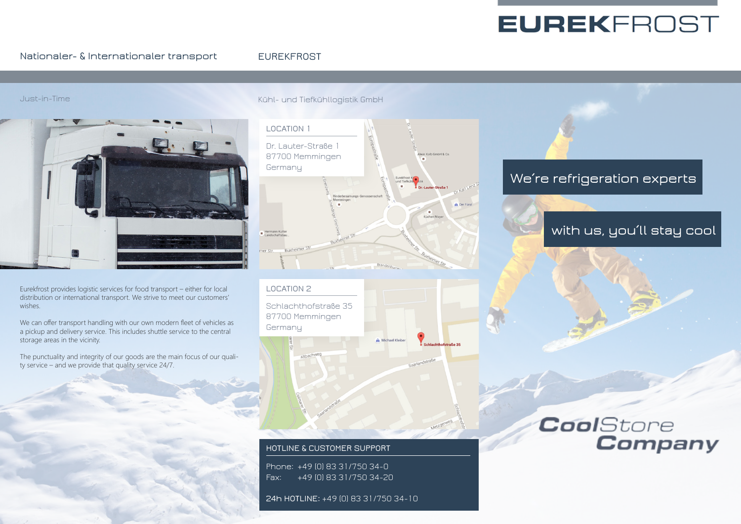# **EUREKFROST**

### **Nationaler- & Internationaler transport**

### **EUREKFROST**

### Just-in-Time



Eurekfrost provides logistic services for food transport – either for local distribution or international transport. We strive to meet our customers' wishes.

We can offer transport handling with our own modern fleet of vehicles as a pickup and delivery service. This includes shuttle service to the central storage areas in the vicinity.

The punctuality and integrity of our goods are the main focus of our quality service – and we provide that quality service 24/7.

### Kühl- und Tiefkühllogistik GmbH



**LOCATION 2** Schlachthofstraße 35 87700 Memmingen **Germany** A Michael Kleib

### **HOTLINE & CUSTOMER SUPPORT**

Phone: +49 (0) 83 31/750 34-0 Fax: +49 (0) 83 31/750 34-20

**24h HOTLINE:** +49 (0) 83 31/750 34-10

### **We´re refrigeration experts**

## **with us, you´ll stay cool**

## CoolStore **Company**